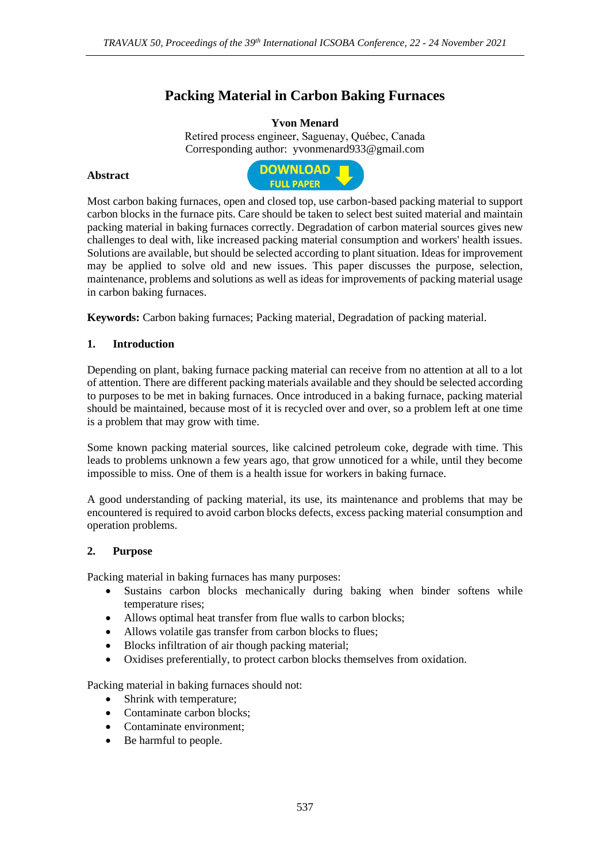# **Packing Material in Carbon Baking Furnaces**

## **Yvon Menard**

Retired process engineer, Saguenay, Québec, Canada Corresponding author: yvonmenard933@gmail.com

## **Abstract**



Most carbon baking furnaces, open and closed top, use carbon-based packing material to support carbon blocks in the furnace pits. Care should be taken to select best suited material and maintain packing material in baking furnaces correctly. Degradation of carbon material sources gives new challenges to deal with, like increased packing material consumption and workers' health issues. Solutions are available, but should be selected according to plant situation. Ideas for improvement may be applied to solve old and new issues. This paper discusses the purpose, selection, maintenance, problems and solutions as well as ideas for improvements of packing material usage in carbon baking furnaces.

**Keywords:** Carbon baking furnaces; Packing material, Degradation of packing material.

## **1. Introduction**

Depending on plant, baking furnace packing material can receive from no attention at all to a lot of attention. There are different packing materials available and they should be selected according to purposes to be met in baking furnaces. Once introduced in a baking furnace, packing material should be maintained, because most of it is recycled over and over, so a problem left at one time is a problem that may grow with time.

Some known packing material sources, like calcined petroleum coke, degrade with time. This leads to problems unknown a few years ago, that grow unnoticed for a while, until they become impossible to miss. One of them is a health issue for workers in baking furnace.

A good understanding of packing material, its use, its maintenance and problems that may be encountered is required to avoid carbon blocks defects, excess packing material consumption and operation problems.

#### **2. Purpose**

Packing material in baking furnaces has many purposes:

- Sustains carbon blocks mechanically during baking when binder softens while temperature rises;
- Allows optimal heat transfer from flue walls to carbon blocks;
- Allows volatile gas transfer from carbon blocks to flues;
- Blocks infiltration of air though packing material;
- Oxidises preferentially, to protect carbon blocks themselves from oxidation.

Packing material in baking furnaces should not:

- Shrink with temperature;
- Contaminate carbon blocks;
- Contaminate environment;
- Be harmful to people.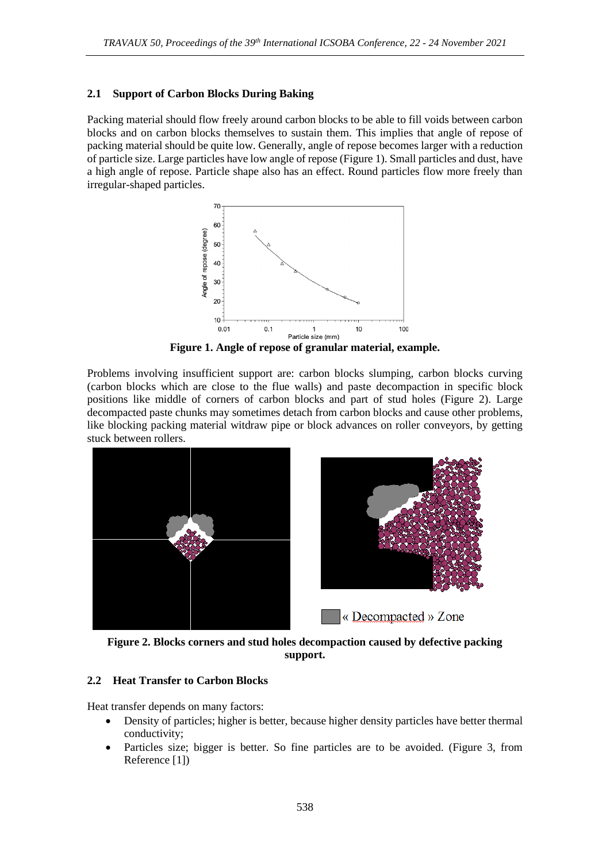## **2.1 Support of Carbon Blocks During Baking**

Packing material should flow freely around carbon blocks to be able to fill voids between carbon blocks and on carbon blocks themselves to sustain them. This implies that angle of repose of packing material should be quite low. Generally, angle of repose becomes larger with a reduction of particle size. Large particles have low angle of repose (Figure 1). Small particles and dust, have a high angle of repose. Particle shape also has an effect. Round particles flow more freely than irregular-shaped particles.



**Figure 1. Angle of repose of granular material, example.**

Problems involving insufficient support are: carbon blocks slumping, carbon blocks curving (carbon blocks which are close to the flue walls) and paste decompaction in specific block positions like middle of corners of carbon blocks and part of stud holes (Figure 2). Large decompacted paste chunks may sometimes detach from carbon blocks and cause other problems, like blocking packing material witdraw pipe or block advances on roller conveyors, by getting stuck between rollers.



**Figure 2. Blocks corners and stud holes decompaction caused by defective packing support.**

#### **2.2 Heat Transfer to Carbon Blocks**

Heat transfer depends on many factors:

- Density of particles; higher is better, because higher density particles have better thermal conductivity;
- Particles size: bigger is better. So fine particles are to be avoided. (Figure 3, from Reference [1])